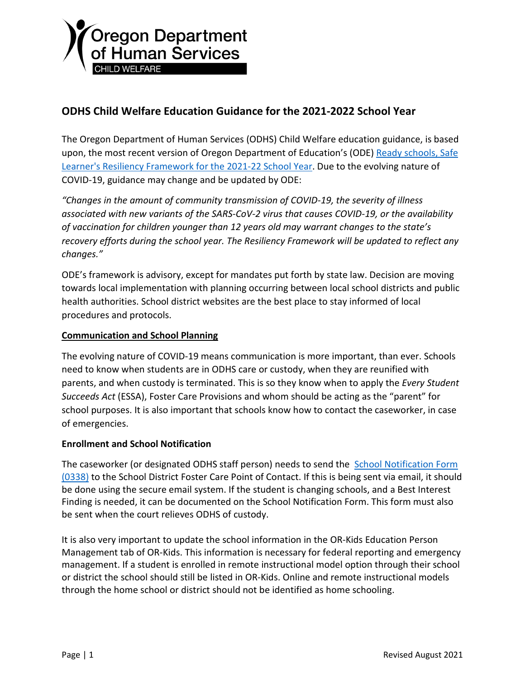

# **ODHS Child Welfare Education Guidance for the 2021-2022 School Year**

The Oregon Department of Human Services (ODHS) Child Welfare education guidance, is based upon, the most recent version of Oregon Department of Education's (ODE) [Ready schools, Safe](https://www.oregon.gov/ode/students-and-family/healthsafety/Documents/Ready%20Schools%20Safe%20Learners%20Resiliency%20Framework%20for%20the%202021-22%20School%20Year.pdf)  [Learner's Resiliency Framework for the 2021-22 School Year.](https://www.oregon.gov/ode/students-and-family/healthsafety/Documents/Ready%20Schools%20Safe%20Learners%20Resiliency%20Framework%20for%20the%202021-22%20School%20Year.pdf) Due to the evolving nature of COVID-19, guidance may change and be updated by ODE:

*"Changes in the amount of community transmission of COVID-19, the severity of illness associated with new variants of the SARS-CoV-2 virus that causes COVID-19, or the availability of vaccination for children younger than 12 years old may warrant changes to the state's recovery efforts during the school year. The Resiliency Framework will be updated to reflect any changes."*

ODE's framework is advisory, except for mandates put forth by state law. Decision are moving towards local implementation with planning occurring between local school districts and public health authorities. School district websites are the best place to stay informed of local procedures and protocols.

## **Communication and School Planning**

The evolving nature of COVID-19 means communication is more important, than ever. Schools need to know when students are in ODHS care or custody, when they are reunified with parents, and when custody is terminated. This is so they know when to apply the *Every Student Succeeds Act* (ESSA), Foster Care Provisions and whom should be acting as the "parent" for school purposes. It is also important that schools know how to contact the caseworker, in case of emergencies.

#### **Enrollment and School Notification**

The caseworker (or designated ODHS staff person) needs to send the [School Notification Form](https://sharedsystems.dhsoha.state.or.us/DHSForms/Served/ce0338.doc)  [\(0338\)](https://sharedsystems.dhsoha.state.or.us/DHSForms/Served/ce0338.doc) to the School District Foster Care Point of Contact. If this is being sent via email, it should be done using the secure email system. If the student is changing schools, and a Best Interest Finding is needed, it can be documented on the School Notification Form. This form must also be sent when the court relieves ODHS of custody.

It is also very important to update the school information in the OR-Kids Education Person Management tab of OR-Kids. This information is necessary for federal reporting and emergency management. If a student is enrolled in remote instructional model option through their school or district the school should still be listed in OR-Kids. Online and remote instructional models through the home school or district should not be identified as home schooling.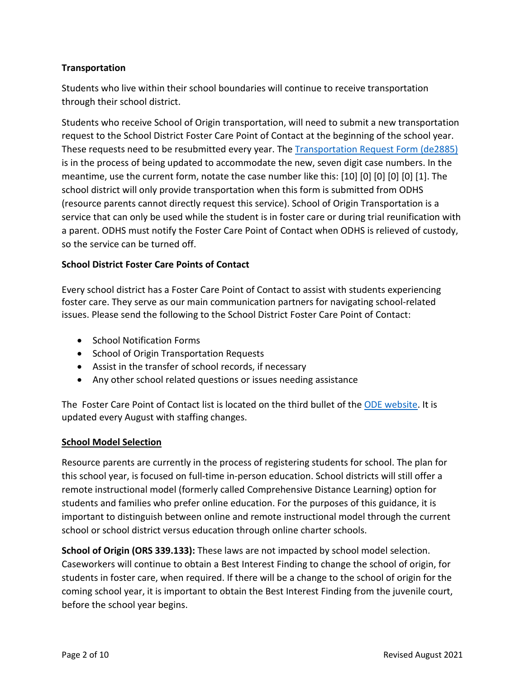# **Transportation**

Students who live within their school boundaries will continue to receive transportation through their school district.

Students who receive School of Origin transportation, will need to submit a new transportation request to the School District Foster Care Point of Contact at the beginning of the school year. These requests need to be resubmitted every year. The [Transportation Request Form \(de2885\)](https://sharedsystems.dhsoha.state.or.us/DHSForms/Served/de2885.docx) is in the process of being updated to accommodate the new, seven digit case numbers. In the meantime, use the current form, notate the case number like this: [10] [0] [0] [0] [0] [1]. The school district will only provide transportation when this form is submitted from ODHS (resource parents cannot directly request this service). School of Origin Transportation is a service that can only be used while the student is in foster care or during trial reunification with a parent. ODHS must notify the Foster Care Point of Contact when ODHS is relieved of custody, so the service can be turned off.

## **School District Foster Care Points of Contact**

Every school district has a Foster Care Point of Contact to assist with students experiencing foster care. They serve as our main communication partners for navigating school-related issues. Please send the following to the School District Foster Care Point of Contact:

- School Notification Forms
- School of Origin Transportation Requests
- Assist in the transfer of school records, if necessary
- Any other school related questions or issues needing assistance

The Foster Care Point of Contact list is located on the third bullet of the [ODE website.](https://www.oregon.gov/ode/students-and-family/fosteringconnections/Pages/default.aspx) It is updated every August with staffing changes.

#### **School Model Selection**

Resource parents are currently in the process of registering students for school. The plan for this school year, is focused on full-time in-person education. School districts will still offer a remote instructional model (formerly called Comprehensive Distance Learning) option for students and families who prefer online education. For the purposes of this guidance, it is important to distinguish between online and remote instructional model through the current school or school district versus education through online charter schools.

**School of Origin (ORS 339.133):** These laws are not impacted by school model selection. Caseworkers will continue to obtain a Best Interest Finding to change the school of origin, for students in foster care, when required. If there will be a change to the school of origin for the coming school year, it is important to obtain the Best Interest Finding from the juvenile court, before the school year begins.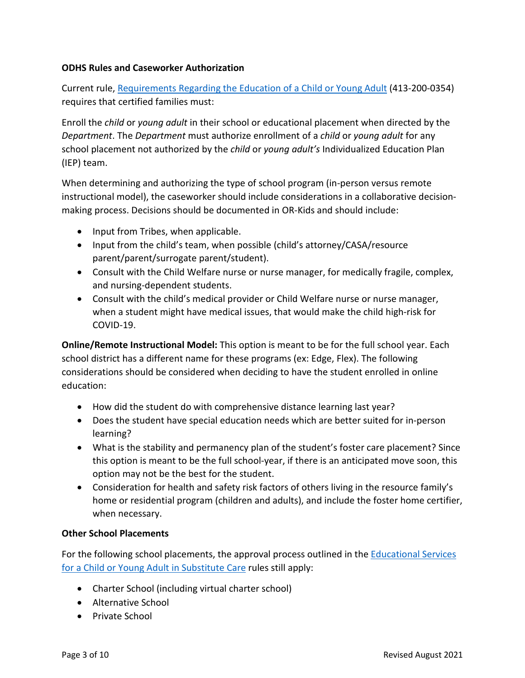## **ODHS Rules and Caseworker Authorization**

Current rule, [Requirements Regarding the Education of a Child or Young Adult](http://www.dhs.state.or.us/policy/childwelfare/manual_1/division_200.pdf) (413-200-0354) requires that certified families must:

Enroll the *child* or *young adult* in their school or educational placement when directed by the *Department*. The *Department* must authorize enrollment of a *child* or *young adult* for any school placement not authorized by the *child* or *young adult's* Individualized Education Plan (IEP) team.

When determining and authorizing the type of school program (in-person versus remote instructional model), the caseworker should include considerations in a collaborative decisionmaking process. Decisions should be documented in OR-Kids and should include:

- Input from Tribes, when applicable.
- Input from the child's team, when possible (child's attorney/CASA/resource parent/parent/surrogate parent/student).
- Consult with the Child Welfare nurse or nurse manager, for medically fragile, complex, and nursing-dependent students.
- Consult with the child's medical provider or Child Welfare nurse or nurse manager, when a student might have medical issues, that would make the child high-risk for COVID-19.

**Online/Remote Instructional Model:** This option is meant to be for the full school year. Each school district has a different name for these programs (ex: Edge, Flex). The following considerations should be considered when deciding to have the student enrolled in online education:

- How did the student do with comprehensive distance learning last year?
- Does the student have special education needs which are better suited for in-person learning?
- What is the stability and permanency plan of the student's foster care placement? Since this option is meant to be the full school-year, if there is an anticipated move soon, this option may not be the best for the student.
- Consideration for health and safety risk factors of others living in the resource family's home or residential program (children and adults), and include the foster home certifier, when necessary.

#### **Other School Placements**

For the following school placements, the approval process outlined in the **Educational Services** [for a Child or Young Adult in Substitute Care](http://www.dhs.state.or.us/policy/childwelfare/manual_1/division_105.pdf) rules still apply:

- Charter School (including virtual charter school)
- Alternative School
- Private School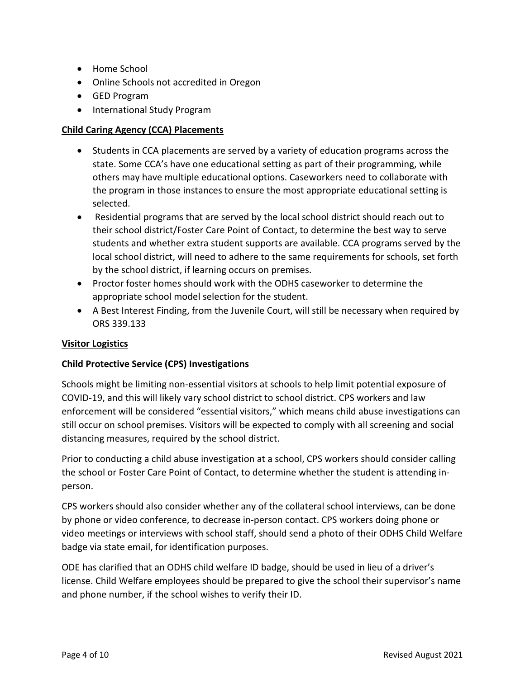- Home School
- Online Schools not accredited in Oregon
- GED Program
- International Study Program

# **Child Caring Agency (CCA) Placements**

- Students in CCA placements are served by a variety of education programs across the state. Some CCA's have one educational setting as part of their programming, while others may have multiple educational options. Caseworkers need to collaborate with the program in those instances to ensure the most appropriate educational setting is selected.
- Residential programs that are served by the local school district should reach out to their school district/Foster Care Point of Contact, to determine the best way to serve students and whether extra student supports are available. CCA programs served by the local school district, will need to adhere to the same requirements for schools, set forth by the school district, if learning occurs on premises.
- Proctor foster homes should work with the ODHS caseworker to determine the appropriate school model selection for the student.
- A Best Interest Finding, from the Juvenile Court, will still be necessary when required by ORS 339.133

# **Visitor Logistics**

# **Child Protective Service (CPS) Investigations**

Schools might be limiting non-essential visitors at schools to help limit potential exposure of COVID-19, and this will likely vary school district to school district. CPS workers and law enforcement will be considered "essential visitors," which means child abuse investigations can still occur on school premises. Visitors will be expected to comply with all screening and social distancing measures, required by the school district.

Prior to conducting a child abuse investigation at a school, CPS workers should consider calling the school or Foster Care Point of Contact, to determine whether the student is attending inperson.

CPS workers should also consider whether any of the collateral school interviews, can be done by phone or video conference, to decrease in-person contact. CPS workers doing phone or video meetings or interviews with school staff, should send a photo of their ODHS Child Welfare badge via state email, for identification purposes.

ODE has clarified that an ODHS child welfare ID badge, should be used in lieu of a driver's license. Child Welfare employees should be prepared to give the school their supervisor's name and phone number, if the school wishes to verify their ID.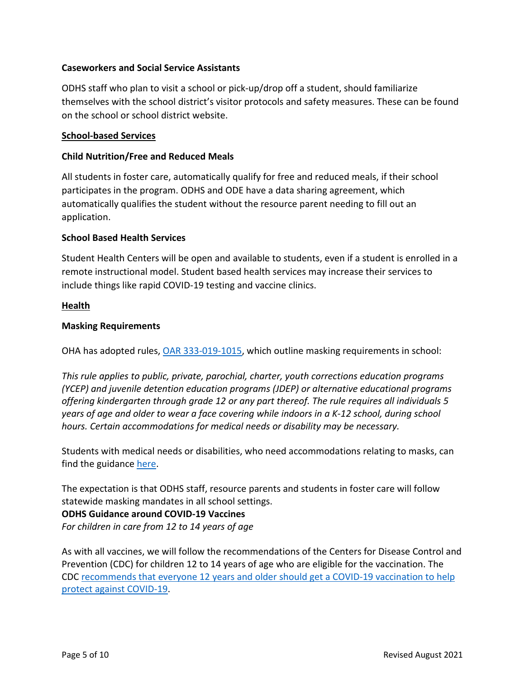### **Caseworkers and Social Service Assistants**

ODHS staff who plan to visit a school or pick-up/drop off a student, should familiarize themselves with the school district's visitor protocols and safety measures. These can be found on the school or school district website.

### **School-based Services**

## **Child Nutrition/Free and Reduced Meals**

All students in foster care, automatically qualify for free and reduced meals, if their school participates in the program. ODHS and ODE have a data sharing agreement, which automatically qualifies the student without the resource parent needing to fill out an application.

## **School Based Health Services**

Student Health Centers will be open and available to students, even if a student is enrolled in a remote instructional model. Student based health services may increase their services to include things like rapid COVID-19 testing and vaccine clinics.

#### **Health**

## **Masking Requirements**

OHA has adopted rules, [OAR 333-019-1015,](https://secure.sos.state.or.us/oard/viewSingleRule.action?ruleVrsnRsn=280434) which outline masking requirements in school:

*This rule applies to public, private, parochial, charter, youth corrections education programs (YCEP) and juvenile detention education programs (JDEP) or alternative educational programs offering kindergarten through grade 12 or any part thereof. The rule requires all individuals 5 years of age and older to wear a face covering while indoors in a K-12 school, during school hours. Certain accommodations for medical needs or disability may be necessary.*

Students with medical needs or disabilities, who need accommodations relating to masks, can find the guidance [here.](https://www.oregon.gov/ode/students-and-family/healthsafety/Documents/Face%20Covering%20Supplemental%20Guidance.pdf)

The expectation is that ODHS staff, resource parents and students in foster care will follow statewide masking mandates in all school settings.

# **ODHS Guidance around COVID-19 Vaccines**

*For children in care from 12 to 14 years of age*

As with all vaccines, we will follow the recommendations of the Centers for Disease Control and Prevention (CDC) for children 12 to 14 years of age who are eligible for the vaccination. The CDC recommends that [everyone 12 years and older should get a COVID-19 vaccination to help](https://www.cdc.gov/coronavirus/2019-ncov/vaccines/recommendations/adolescents.html)  [protect against COVID-19.](https://www.cdc.gov/coronavirus/2019-ncov/vaccines/recommendations/adolescents.html)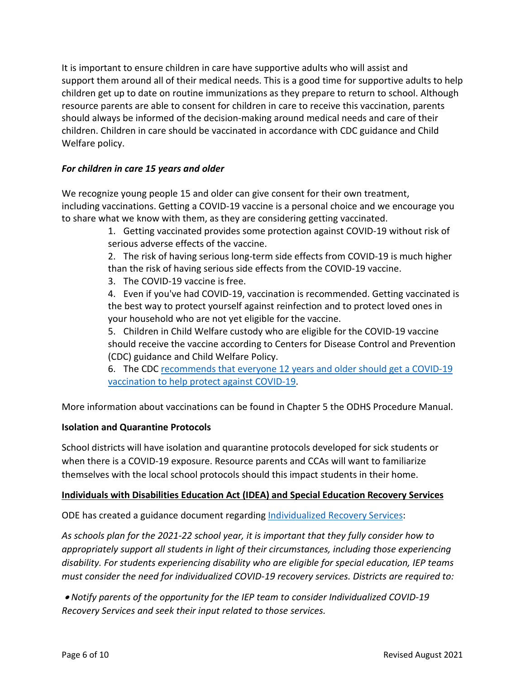It is important to ensure children in care have supportive adults who will assist and support them around all of their medical needs. This is a good time for supportive adults to help children get up to date on routine immunizations as they prepare to return to school. Although resource parents are able to consent for children in care to receive this vaccination, parents should always be informed of the decision-making around medical needs and care of their children. Children in care should be vaccinated in accordance with CDC guidance and Child Welfare policy.

# *For children in care 15 years and older*

We recognize young people 15 and older can give consent for their own treatment, including vaccinations. Getting a COVID-19 vaccine is a personal choice and we encourage you to share what we know with them, as they are considering getting vaccinated.

> 1. Getting vaccinated provides some protection against COVID-19 without risk of serious adverse effects of the vaccine.

> 2. The risk of having serious long-term side effects from COVID-19 is much higher than the risk of having serious side effects from the COVID-19 vaccine.

3. The COVID-19 vaccine is free.

4. Even if you've had COVID-19, vaccination is recommended. Getting vaccinated is the best way to protect yourself against reinfection and to protect loved ones in your household who are not yet eligible for the vaccine.

5. Children in Child Welfare custody who are eligible for the COVID-19 vaccine should receive the vaccine according to Centers for Disease Control and Prevention (CDC) guidance and Child Welfare Policy.

6. The CDC [recommends that everyone 12 years and older should get a COVID-19](https://www.cdc.gov/coronavirus/2019-ncov/vaccines/recommendations/adolescents.html)  [vaccination to help protect against COVID-19.](https://www.cdc.gov/coronavirus/2019-ncov/vaccines/recommendations/adolescents.html)

More information about vaccinations can be found in Chapter 5 the ODHS Procedure Manual.

# **Isolation and Quarantine Protocols**

School districts will have isolation and quarantine protocols developed for sick students or when there is a COVID-19 exposure. Resource parents and CCAs will want to familiarize themselves with the local school protocols should this impact students in their home.

#### **Individuals with Disabilities Education Act (IDEA) and Special Education Recovery Services**

ODE has created a guidance document regardin[g Individualized Recovery Services:](https://www.oregon.gov/ode/students-and-family/healthsafety/Documents/Planning%20for%20Individualized%20COVID-19%20Recovery%20Services.pdf)

*As schools plan for the 2021-22 school year, it is important that they fully consider how to appropriately support all students in light of their circumstances, including those experiencing disability. For students experiencing disability who are eligible for special education, IEP teams must consider the need for individualized COVID-19 recovery services. Districts are required to:*

• *Notify parents of the opportunity for the IEP team to consider Individualized COVID-19 Recovery Services and seek their input related to those services.*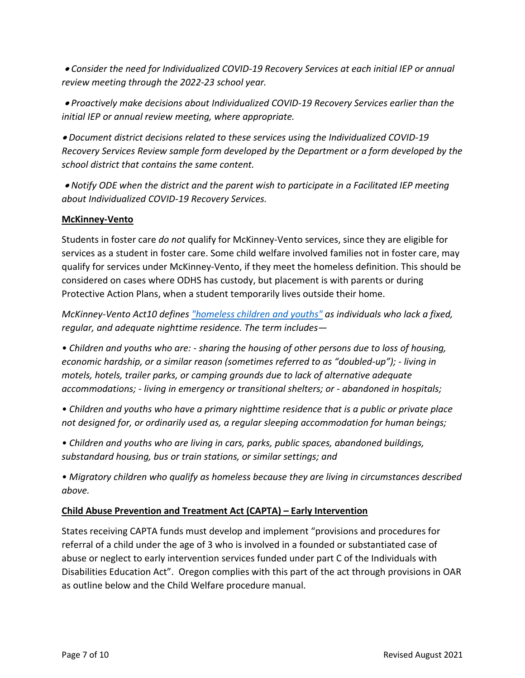• *Consider the need for Individualized COVID-19 Recovery Services at each initial IEP or annual review meeting through the 2022-23 school year.*

• *Proactively make decisions about Individualized COVID-19 Recovery Services earlier than the initial IEP or annual review meeting, where appropriate.* 

• *Document district decisions related to these services using the Individualized COVID-19 Recovery Services Review sample form developed by the Department or a form developed by the school district that contains the same content.*

• *Notify ODE when the district and the parent wish to participate in a Facilitated IEP meeting about Individualized COVID-19 Recovery Services.*

## **McKinney-Vento**

Students in foster care *do not* qualify for McKinney-Vento services, since they are eligible for services as a student in foster care. Some child welfare involved families not in foster care, may qualify for services under McKinney-Vento, if they meet the homeless definition. This should be considered on cases where ODHS has custody, but placement is with parents or during Protective Action Plans, when a student temporarily lives outside their home.

*McKinney-Vento Act10 defines ["homeless children and youths"](https://www.oregon.gov/ode/schools-and-districts/grants/ESEA/McKinney-Vento/Documents/USDE-nonregulatory-guidance.pdf) as individuals who lack a fixed, regular, and adequate nighttime residence. The term includes—*

*• Children and youths who are: - sharing the housing of other persons due to loss of housing, economic hardship, or a similar reason (sometimes referred to as "doubled-up"); - living in motels, hotels, trailer parks, or camping grounds due to lack of alternative adequate accommodations; - living in emergency or transitional shelters; or - abandoned in hospitals;* 

*• Children and youths who have a primary nighttime residence that is a public or private place not designed for, or ordinarily used as, a regular sleeping accommodation for human beings;* 

*• Children and youths who are living in cars, parks, public spaces, abandoned buildings, substandard housing, bus or train stations, or similar settings; and* 

*• Migratory children who qualify as homeless because they are living in circumstances described above.*

# **Child Abuse Prevention and Treatment Act (CAPTA) – Early Intervention**

States receiving CAPTA funds must develop and implement "provisions and procedures for referral of a child under the age of 3 who is involved in a founded or substantiated case of abuse or neglect to early intervention services funded under part C of the Individuals with Disabilities Education Act". Oregon complies with this part of the act through provisions in OAR as outline below and the Child Welfare procedure manual.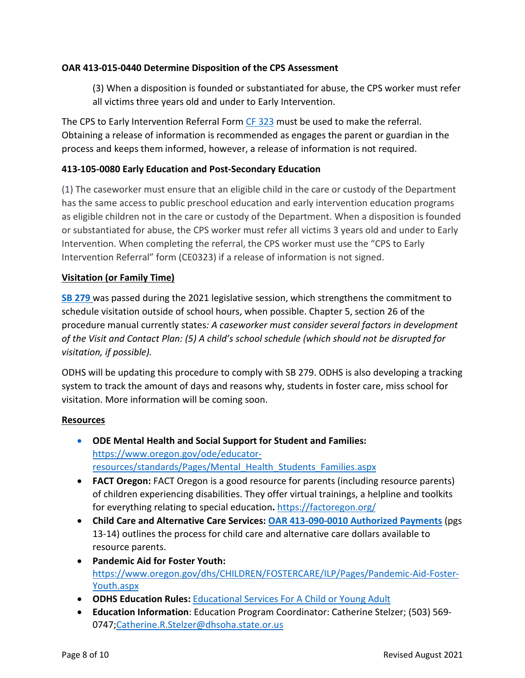# **OAR 413-015-0440 Determine Disposition of the CPS Assessment**

(3) When a disposition is founded or substantiated for abuse, the CPS worker must refer all victims three years old and under to Early Intervention.

The CPS to Early Intervention Referral Form [CF 323](https://sharedsystems.dhsoha.state.or.us/DHSForms/Served/ce0323.pdf?CFGRIDKEY=CW%200323,0323,CPS%20Early%20Intervention%20Referral,CE0323.doc,CE0323.pdf,,,,,,http://www.dhs.state.or.us/policy/childwelfare/manual_1/i-e8.pdf,See%20PolicyI-E.8,http://www.dhs.state.or.us/policy/childwelfare/manual_1/i-ab4.pdf,1-AB.4) must be used to make the referral. Obtaining a release of information is recommended as engages the parent or guardian in the process and keeps them informed, however, a release of information is not required.

## **413-105-0080 Early Education and Post-Secondary Education**

(1) The caseworker must ensure that an eligible child in the care or custody of the Department has the same access to public preschool education and early intervention education programs as eligible children not in the care or custody of the Department. When a disposition is founded or substantiated for abuse, the CPS worker must refer all victims 3 years old and under to Early Intervention. When completing the referral, the CPS worker must use the "CPS to Early Intervention Referral" form (CE0323) if a release of information is not signed.

#### **Visitation (or Family Time)**

**[SB 279](https://olis.oregonlegislature.gov/liz/2021R1/Downloads/MeasureDocument/SB0279/Enrolled)** was passed during the 2021 legislative session, which strengthens the commitment to schedule visitation outside of school hours, when possible. Chapter 5, section 26 of the procedure manual currently states*: A caseworker must consider several factors in development of the Visit and Contact Plan: (5) A child's school schedule (which should not be disrupted for visitation, if possible).*

ODHS will be updating this procedure to comply with SB 279. ODHS is also developing a tracking system to track the amount of days and reasons why, students in foster care, miss school for visitation. More information will be coming soon.

#### **Resources**

- **ODE Mental Health and Social Support for Student and Families:**  [https://www.oregon.gov/ode/educator](https://www.oregon.gov/ode/educator-resources/standards/Pages/Mental_Health_Students_Families.aspx)[resources/standards/Pages/Mental\\_Health\\_Students\\_Families.aspx](https://www.oregon.gov/ode/educator-resources/standards/Pages/Mental_Health_Students_Families.aspx)
- **FACT Oregon:** FACT Oregon is a good resource for parents (including resource parents) of children experiencing disabilities. They offer virtual trainings, a helpline and toolkits for everything relating to special education**.** <https://factoregon.org/>
- **Child Care and Alternative Care Services: [OAR 413-090-0010 Authorized Payments](http://www.dhs.state.or.us/policy/childwelfare/manual_1/division_90.pdf)** (pgs 13-14) outlines the process for child care and alternative care dollars available to resource parents.
- **Pandemic Aid for Foster Youth:**  [https://www.oregon.gov/dhs/CHILDREN/FOSTERCARE/ILP/Pages/Pandemic-Aid-Foster-](https://www.oregon.gov/dhs/CHILDREN/FOSTERCARE/ILP/Pages/Pandemic-Aid-Foster-Youth.aspx)[Youth.aspx](https://www.oregon.gov/dhs/CHILDREN/FOSTERCARE/ILP/Pages/Pandemic-Aid-Foster-Youth.aspx)
- **ODHS Education Rules:** [Educational Services For A Child or Young Adult](http://www.dhs.state.or.us/policy/childwelfare/manual_1/division_105.pdf)
- **Education Information**: Education Program Coordinator: Catherine Stelzer; (503) 569- 0747[;Catherine.R.Stelzer@dhsoha.state.or.us](mailto:Catherine.R.Stelzer@dhsoha.state.or.us)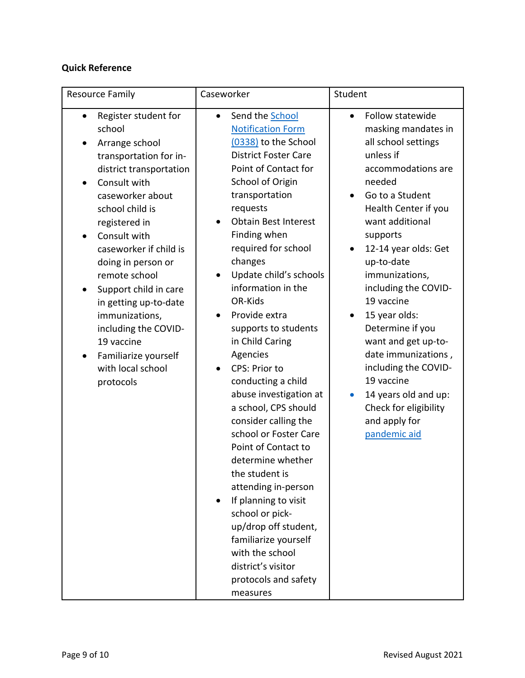# **Quick Reference**

| <b>Resource Family</b>                                                                                                                                                                                                                                                                                                                                                                                                                                       | Caseworker                                                                                                                                                                                                                                                                                                                                                                                                                                                                                                                                                                                                                                                                                                                                                                                                                  | Student                                                                                                                                                                                                                                                                                                                                                                                                                                                                                                                                      |
|--------------------------------------------------------------------------------------------------------------------------------------------------------------------------------------------------------------------------------------------------------------------------------------------------------------------------------------------------------------------------------------------------------------------------------------------------------------|-----------------------------------------------------------------------------------------------------------------------------------------------------------------------------------------------------------------------------------------------------------------------------------------------------------------------------------------------------------------------------------------------------------------------------------------------------------------------------------------------------------------------------------------------------------------------------------------------------------------------------------------------------------------------------------------------------------------------------------------------------------------------------------------------------------------------------|----------------------------------------------------------------------------------------------------------------------------------------------------------------------------------------------------------------------------------------------------------------------------------------------------------------------------------------------------------------------------------------------------------------------------------------------------------------------------------------------------------------------------------------------|
| Register student for<br>$\bullet$<br>school<br>Arrange school<br>transportation for in-<br>district transportation<br>Consult with<br>$\bullet$<br>caseworker about<br>school child is<br>registered in<br>Consult with<br>caseworker if child is<br>doing in person or<br>remote school<br>Support child in care<br>in getting up-to-date<br>immunizations,<br>including the COVID-<br>19 vaccine<br>Familiarize yourself<br>with local school<br>protocols | Send the <b>School</b><br>$\bullet$<br><b>Notification Form</b><br>(0338) to the School<br><b>District Foster Care</b><br>Point of Contact for<br>School of Origin<br>transportation<br>requests<br><b>Obtain Best Interest</b><br>Finding when<br>required for school<br>changes<br>Update child's schools<br>information in the<br>OR-Kids<br>Provide extra<br>supports to students<br>in Child Caring<br>Agencies<br>CPS: Prior to<br>conducting a child<br>abuse investigation at<br>a school, CPS should<br>consider calling the<br>school or Foster Care<br>Point of Contact to<br>determine whether<br>the student is<br>attending in-person<br>If planning to visit<br>school or pick-<br>up/drop off student,<br>familiarize yourself<br>with the school<br>district's visitor<br>protocols and safety<br>measures | <b>Follow statewide</b><br>$\bullet$<br>masking mandates in<br>all school settings<br>unless if<br>accommodations are<br>needed<br>Go to a Student<br>$\bullet$<br>Health Center if you<br>want additional<br>supports<br>12-14 year olds: Get<br>up-to-date<br>immunizations,<br>including the COVID-<br>19 vaccine<br>15 year olds:<br>Determine if you<br>want and get up-to-<br>date immunizations,<br>including the COVID-<br>19 vaccine<br>14 years old and up:<br>$\bullet$<br>Check for eligibility<br>and apply for<br>pandemic aid |